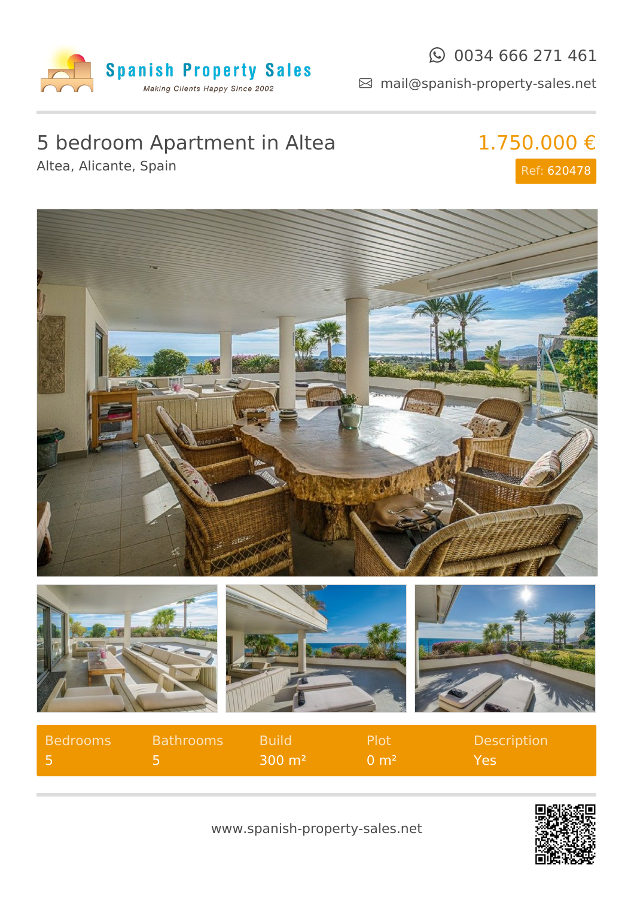

### $\odot$  0034 666 271 461

mail@spanish-property-sales.net

# 5 bedroom Apartment in Altea

Altea, Alicante, Spain

1.750.000 € Ref: 620478



| Bedrooms | <b>Bathrooms</b> | Build <sup>1</sup> | -Plot               | <b>Description</b> |
|----------|------------------|--------------------|---------------------|--------------------|
|          |                  | $300 \text{ m}^2$  | ⊢0 m <sup>2</sup> ' | Yes                |

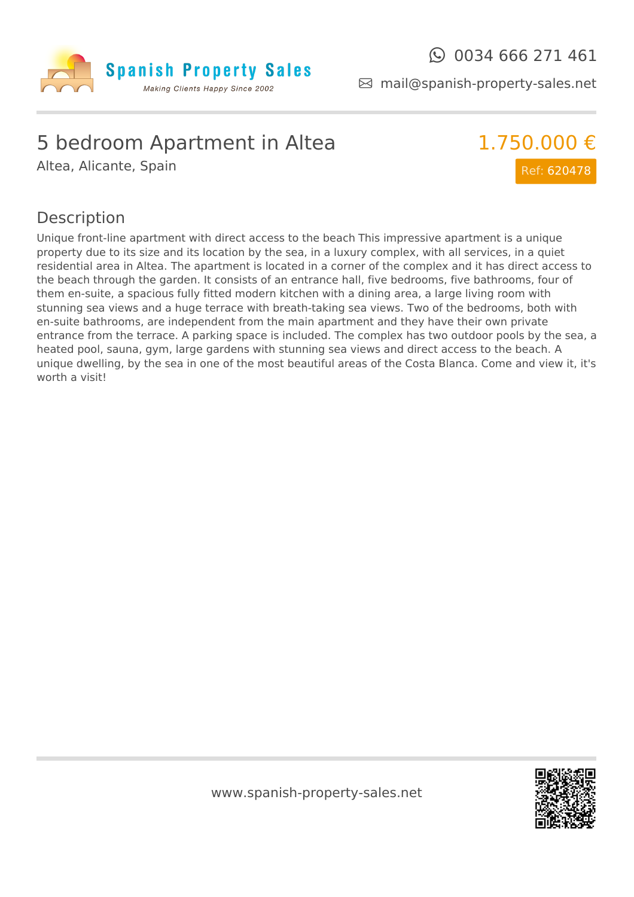

mail@spanish-property-sales.net

## 5 bedroom Apartment in Altea

Altea, Alicante, Spain



#### Description

Unique front-line apartment with direct access to the beach This impressive apartment is a unique property due to its size and its location by the sea, in a luxury complex, with all services, in a quiet residential area in Altea. The apartment is located in a corner of the complex and it has direct access to the beach through the garden. It consists of an entrance hall, five bedrooms, five bathrooms, four of them en-suite, a spacious fully fitted modern kitchen with a dining area, a large living room with stunning sea views and a huge terrace with breath-taking sea views. Two of the bedrooms, both with en-suite bathrooms, are independent from the main apartment and they have their own private entrance from the terrace. A parking space is included. The complex has two outdoor pools by the sea, a heated pool, sauna, gym, large gardens with stunning sea views and direct access to the beach. A unique dwelling, by the sea in one of the most beautiful areas of the Costa Blanca. Come and view it, it's worth a visit!